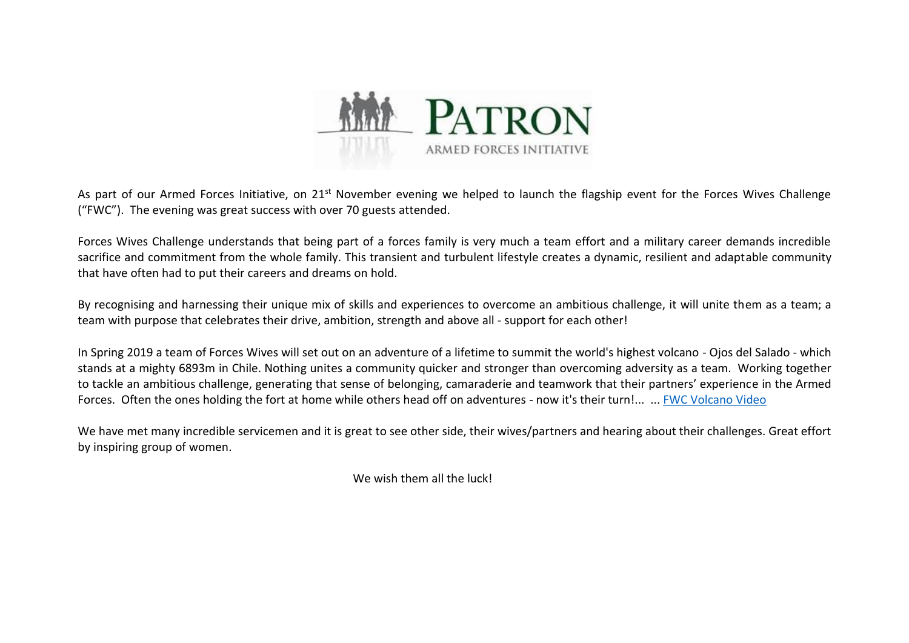

As part of our Armed Forces Initiative, on 21<sup>st</sup> November evening we helped to launch the flagship event for the Forces Wives Challenge ("FWC"). The evening was great success with over 70 guests attended.

Forces Wives Challenge understands that being part of a forces family is very much a team effort and a military career demands incredible sacrifice and commitment from the whole family. This transient and turbulent lifestyle creates a dynamic, resilient and adaptable community that have often had to put their careers and dreams on hold.

By recognising and harnessing their unique mix of skills and experiences to overcome an ambitious challenge, it will unite them as a team; a team with purpose that celebrates their drive, ambition, strength and above all - support for each other!

In Spring 2019 a team of Forces Wives will set out on an adventure of a lifetime to summit the world's highest volcano - Ojos del Salado - which stands at a mighty 6893m in Chile. Nothing unites a community quicker and stronger than overcoming adversity as a team. Working together to tackle an ambitious challenge, generating that sense of belonging, camaraderie and teamwork that their partners' experience in the Armed Forces. Often the ones holding the fort at home while others head off on adventures - now it's their turn!... ... [FWC Volcano Video](https://youtu.be/LO_euJRwy1A)

We have met many incredible servicemen and it is great to see other side, their wives/partners and hearing about their challenges. Great effort by inspiring group of women.

We wish them all the luck!